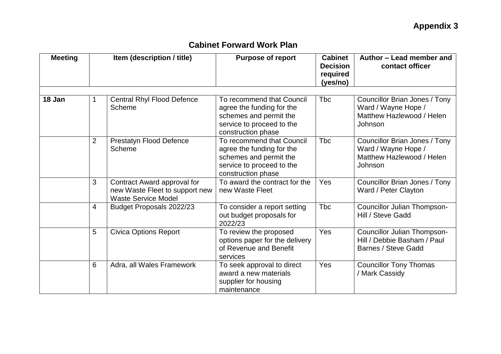| <b>Meeting</b> |                | Item (description / title)                                                                  | <b>Purpose of report</b>                                                                                                            | <b>Cabinet</b><br><b>Decision</b><br>required<br>(yes/no) | Author - Lead member and<br>contact officer                                                  |  |
|----------------|----------------|---------------------------------------------------------------------------------------------|-------------------------------------------------------------------------------------------------------------------------------------|-----------------------------------------------------------|----------------------------------------------------------------------------------------------|--|
| 18 Jan         | 1              | <b>Central Rhyl Flood Defence</b><br>Scheme                                                 | To recommend that Council<br>agree the funding for the<br>schemes and permit the<br>service to proceed to the<br>construction phase | <b>Tbc</b>                                                | Councillor Brian Jones / Tony<br>Ward / Wayne Hope /<br>Matthew Hazlewood / Helen<br>Johnson |  |
|                | $\overline{2}$ | <b>Prestatyn Flood Defence</b><br>Scheme                                                    | To recommend that Council<br>agree the funding for the<br>schemes and permit the<br>service to proceed to the<br>construction phase | <b>T</b> bc                                               | Councillor Brian Jones / Tony<br>Ward / Wayne Hope /<br>Matthew Hazlewood / Helen<br>Johnson |  |
|                | 3              | Contract Award approval for<br>new Waste Fleet to support new<br><b>Waste Service Model</b> | To award the contract for the<br>new Waste Fleet                                                                                    | Yes                                                       | Councillor Brian Jones / Tony<br>Ward / Peter Clayton                                        |  |
|                | 4              | Budget Proposals 2022/23                                                                    | To consider a report setting<br>out budget proposals for<br>2022/23                                                                 | <b>T</b> bc                                               | Councillor Julian Thompson-<br>Hill / Steve Gadd                                             |  |
|                | 5              | <b>Civica Options Report</b>                                                                | To review the proposed<br>options paper for the delivery<br>of Revenue and Benefit<br>services                                      | Yes                                                       | Councillor Julian Thompson-<br>Hill / Debbie Basham / Paul<br>Barnes / Steve Gadd            |  |
|                | 6              | Adra, all Wales Framework                                                                   | To seek approval to direct<br>award a new materials<br>supplier for housing<br>maintenance                                          | Yes                                                       | <b>Councillor Tony Thomas</b><br>/ Mark Cassidy                                              |  |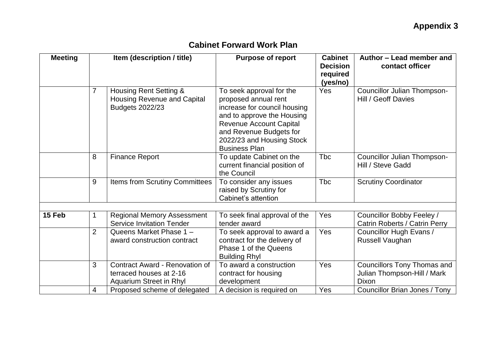| <b>Meeting</b> | Item (description / title) |                                                                                      | <b>Purpose of report</b>                                                                                                                                                                                                         | <b>Cabinet</b><br><b>Decision</b><br>required<br>(yes/no) | Author - Lead member and<br>contact officer                                |  |
|----------------|----------------------------|--------------------------------------------------------------------------------------|----------------------------------------------------------------------------------------------------------------------------------------------------------------------------------------------------------------------------------|-----------------------------------------------------------|----------------------------------------------------------------------------|--|
|                | 7                          | Housing Rent Setting &<br>Housing Revenue and Capital<br>Budgets 2022/23             | To seek approval for the<br>proposed annual rent<br>increase for council housing<br>and to approve the Housing<br><b>Revenue Account Capital</b><br>and Revenue Budgets for<br>2022/23 and Housing Stock<br><b>Business Plan</b> | Yes                                                       | Councillor Julian Thompson-<br>Hill / Geoff Davies                         |  |
|                | 8                          | <b>Finance Report</b>                                                                | To update Cabinet on the<br>current financial position of<br>the Council                                                                                                                                                         | <b>Tbc</b>                                                | <b>Councillor Julian Thompson-</b><br>Hill / Steve Gadd                    |  |
|                | 9                          | <b>Items from Scrutiny Committees</b>                                                | To consider any issues<br>raised by Scrutiny for<br>Cabinet's attention                                                                                                                                                          | <b>Tbc</b>                                                | <b>Scrutiny Coordinator</b>                                                |  |
|                |                            |                                                                                      |                                                                                                                                                                                                                                  |                                                           |                                                                            |  |
| 15 Feb         |                            | <b>Regional Memory Assessment</b><br><b>Service Invitation Tender</b>                | To seek final approval of the<br>tender award                                                                                                                                                                                    | Yes                                                       | Councillor Bobby Feeley /<br>Catrin Roberts / Catrin Perry                 |  |
|                | $\overline{2}$             | Queens Market Phase 1 -<br>award construction contract                               | To seek approval to award a<br>contract for the delivery of<br>Phase 1 of the Queens<br><b>Building Rhyl</b>                                                                                                                     | Yes                                                       | Councillor Hugh Evans /<br>Russell Vaughan                                 |  |
|                | 3                          | Contract Award - Renovation of<br>terraced houses at 2-16<br>Aquarium Street in Rhyl | To award a construction<br>contract for housing<br>development                                                                                                                                                                   | Yes                                                       | <b>Councillors Tony Thomas and</b><br>Julian Thompson-Hill / Mark<br>Dixon |  |
|                | 4                          | Proposed scheme of delegated                                                         | A decision is required on                                                                                                                                                                                                        | Yes                                                       | Councillor Brian Jones / Tony                                              |  |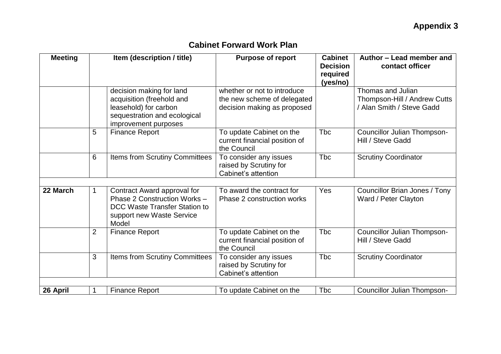| <b>Meeting</b> | Item (description / title) |                                                                                                                                        | <b>Purpose of report</b>                                                                  | <b>Cabinet</b><br><b>Decision</b><br>required<br>(yes/no) | Author - Lead member and<br>contact officer                                    |
|----------------|----------------------------|----------------------------------------------------------------------------------------------------------------------------------------|-------------------------------------------------------------------------------------------|-----------------------------------------------------------|--------------------------------------------------------------------------------|
|                |                            | decision making for land<br>acquisition (freehold and<br>leasehold) for carbon<br>sequestration and ecological<br>improvement purposes | whether or not to introduce<br>the new scheme of delegated<br>decision making as proposed |                                                           | Thomas and Julian<br>Thompson-Hill / Andrew Cutts<br>/ Alan Smith / Steve Gadd |
|                | 5                          | <b>Finance Report</b>                                                                                                                  | To update Cabinet on the<br>current financial position of<br>the Council                  | <b>Tbc</b>                                                | <b>Councillor Julian Thompson-</b><br>Hill / Steve Gadd                        |
|                | 6                          | Items from Scrutiny Committees                                                                                                         | To consider any issues<br>raised by Scrutiny for<br>Cabinet's attention                   | <b>Tbc</b>                                                | <b>Scrutiny Coordinator</b>                                                    |
| 22 March       |                            | Contract Award approval for<br>Phase 2 Construction Works -<br>DCC Waste Transfer Station to<br>support new Waste Service<br>Model     | To award the contract for<br>Phase 2 construction works                                   | Yes                                                       | Councillor Brian Jones / Tony<br>Ward / Peter Clayton                          |
|                | $\overline{2}$             | <b>Finance Report</b>                                                                                                                  | To update Cabinet on the<br>current financial position of<br>the Council                  | <b>Tbc</b>                                                | <b>Councillor Julian Thompson-</b><br>Hill / Steve Gadd                        |
|                | 3                          | <b>Items from Scrutiny Committees</b>                                                                                                  | To consider any issues<br>raised by Scrutiny for<br>Cabinet's attention                   | <b>Tbc</b>                                                | <b>Scrutiny Coordinator</b>                                                    |
| 26 April       |                            | <b>Finance Report</b>                                                                                                                  | To update Cabinet on the                                                                  | <b>Tbc</b>                                                | Councillor Julian Thompson-                                                    |